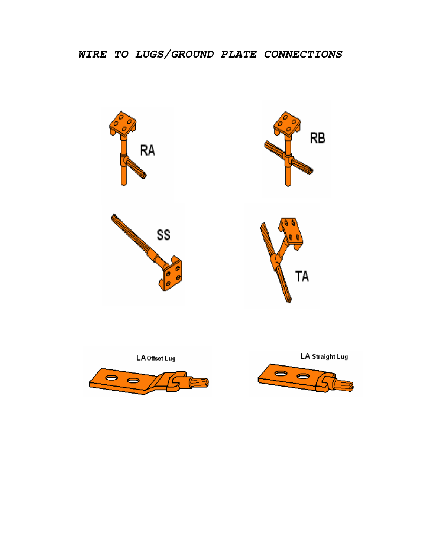





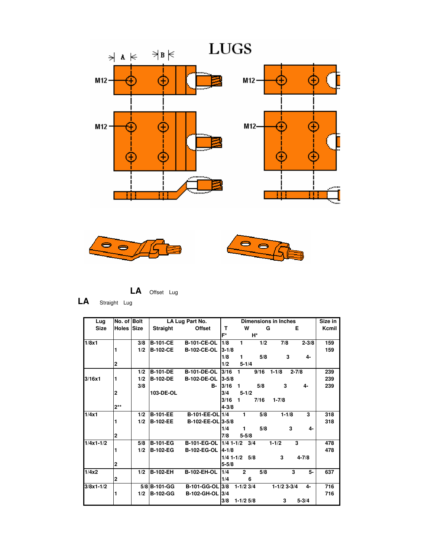





$$
LA
$$
 **Offset**  $Lug$ 

**LA** Straight Lug

| Lug           | No. of Bolt             |     |                 | LA Lug Part No.        | <b>Dimensions in Inches</b> |                   |      | Size in         |           |       |
|---------------|-------------------------|-----|-----------------|------------------------|-----------------------------|-------------------|------|-----------------|-----------|-------|
| <b>Size</b>   | Holes Size              |     | <b>Straight</b> | <b>Offset</b>          | т                           | W                 |      | G               | Е         | Kcmil |
|               |                         |     |                 |                        | F*                          |                   | H*   |                 |           |       |
| 1/8x1         |                         | 3/8 | <b>B-101-CE</b> | <b>B-101-CE-OL</b>     | 1/8                         | 1                 | 1/2  | 7/8             | $2 - 3/8$ | 159   |
|               |                         | 1/2 | <b>B-102-CE</b> | <b>B-102-CE-OL</b>     | $3 - 1/8$                   |                   |      |                 |           | 159   |
|               |                         |     |                 |                        | 1/8                         | 1                 | 5/8  | 3               | 4-        |       |
|               | $\overline{2}$          |     |                 |                        | 1/2                         | $5 - 1/4$         |      |                 |           |       |
|               |                         | 1/2 | <b>B-101-DE</b> | <b>B-101-DE-OL</b>     | 3/16                        | 1                 | 9/16 | $1 - 1/8$       | $2 - 7/8$ | 239   |
| 3/16x1        | 1                       | 1/2 | <b>B-102-DE</b> | <b>B-102-DE-OL</b>     | $3 - 5/8$                   |                   |      |                 |           | 239   |
|               |                         | 3/8 |                 | в-                     | 3/16                        | 1                 | 5/8  | 3               | 4-        | 239   |
|               | 2                       |     | 103-DE-OL       |                        | 3/4                         | $5 - 1/2$         |      |                 |           |       |
|               |                         |     |                 |                        | 3/16                        | 1                 | 7/16 | $1 - 7/8$       |           |       |
|               | $2**$                   |     |                 |                        | $4 - 3/8$                   |                   |      |                 |           |       |
| 1/4x1         |                         | 1/2 | <b>B-101-EE</b> | B-101-EE-OL 1/4        |                             | 1                 | 5/8  | $1 - 1/8$       | 3         | 318   |
|               | 1                       | 1/2 | <b>B-102-EE</b> | B-102-EE-OL 3-5/8      |                             |                   |      |                 |           | 318   |
|               |                         |     |                 |                        | 1/4                         | 1                 | 5/8  | 3               | 4-        |       |
|               | $\overline{2}$          |     |                 |                        | 7/8                         | $5 - 5/8$         |      |                 |           |       |
| $1/4x1-1/2$   |                         | 5/8 | <b>B-101-EG</b> | <b>B-101-EG-OL</b>     | $1/4$ 1-1/2                 |                   | 3/4  | $1 - 1/2$       | 3         | 478   |
|               |                         | 1/2 | <b>B-102-EG</b> | <b>B-102-EG-OL</b>     | $4 - 1/8$                   |                   |      |                 |           | 478   |
|               |                         |     |                 |                        |                             | $1/4$ 1-1/2 $5/8$ |      | 3               | $4 - 7/8$ |       |
|               | $\overline{\mathbf{2}}$ |     |                 |                        | $5 - 5/8$                   |                   |      |                 |           |       |
| 1/4x2         |                         | 1/2 | <b>B-102-EH</b> | <b>B-102-EH-OL</b>     | 1/4                         | $\overline{2}$    | 5/8  |                 | 3<br>5.   | 637   |
|               | $\overline{\mathbf{2}}$ |     |                 |                        | 1/4                         | 6                 |      |                 |           |       |
| $3/8x1 - 1/2$ |                         |     | 5/8 B-101-GG    | <b>B-101-GG-OL 3/8</b> |                             | $1-1/2$ 3/4       |      | $1 - 1/2$ 3-3/4 | 4-        | 716   |
|               |                         | 1/2 | <b>B-102-GG</b> | <b>B-102-GH-OL</b>     | 3/4                         |                   |      |                 |           | 716   |
|               |                         |     |                 |                        | 3/8                         | $1-1/2$ 5/8       |      | 3               | $5 - 3/4$ |       |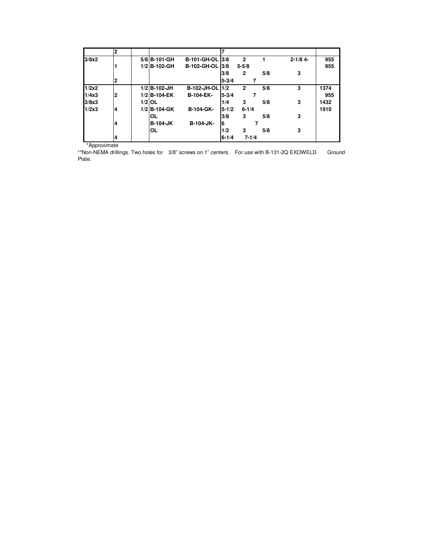|       | $\overline{2}$ |                 |                        | 7         |              |     |              |      |
|-------|----------------|-----------------|------------------------|-----------|--------------|-----|--------------|------|
| 3/8x2 |                | 5/8 B-101-GH    | <b>B-101-GH-OL 3/8</b> |           | $\mathbf{2}$ |     | $2 - 1/8$ 4- | 955  |
|       |                | 1/2 B-102-GH    | B-102-GH-OL  3/8       |           | $5 - 5/8$    |     |              | 955  |
|       |                |                 |                        | 3/8       | $\mathbf{2}$ | 5/8 | 3            |      |
|       | $\mathbf{2}$   |                 |                        | $5 - 3/4$ |              |     |              |      |
| 1/2x2 |                | $1/2$ B-102-JH  | <b>B-102-JH-OL</b>     | 1/2       | $\mathbf{2}$ | 5/8 | 3            | 1374 |
| 1/4x3 | $\overline{2}$ | 1/2 B-104-EK    | <b>B-104-EK-</b>       | $5 - 3/4$ |              | 7   |              | 955  |
| 3/8x3 |                | $1/2$ OL        |                        | 1/4       | 3            | 5/8 | 3            | 1432 |
| 1/2x3 | 4              | 1/2 B-104-GK    | <b>B-104-GK-</b>       | $5 - 1/2$ | $6 - 1/4$    |     |              | 1910 |
|       |                | <b>OL</b>       |                        | 3/8       | 3            | 5/8 | 3            |      |
|       | 4              | <b>B-104-JK</b> | <b>B-104-JK-</b>       | 6         |              |     |              |      |
|       |                | OL              |                        | 1/2       | 3            | 5/8 | 3            |      |
|       | 4              |                 |                        | $6 - 1/4$ | $7 - 1/4$    |     |              |      |

\*Approximate

\*\*Non-NEMA drillings. Two holes for 3/8" screws on 1" centers. For use with B-131-2Q EXOWELD Ground Plate.